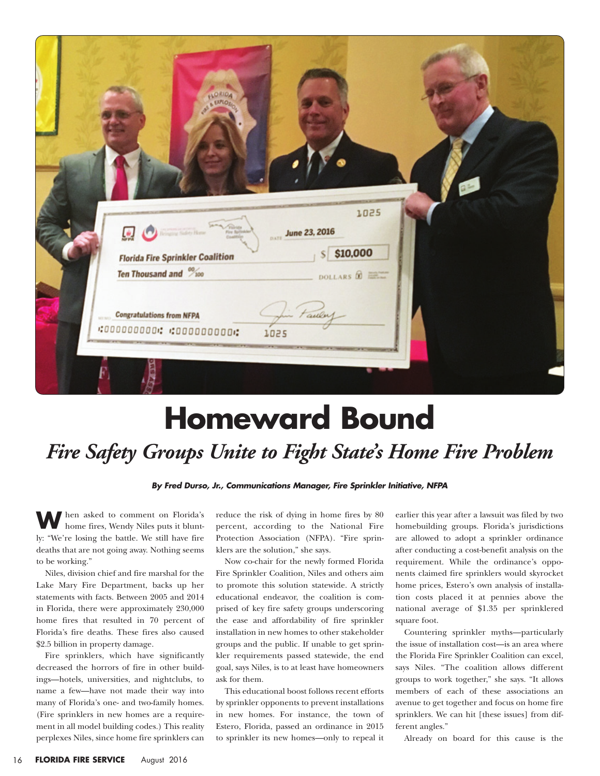| AS EXPLOS<br>1025<br>and Filetta<br><b>June 23, 2016</b><br>پښ<br>$S$ \$10,000<br><b>Florida Fire Sprinkler Coalition</b><br>Ten Thousand and %100<br>DOLLARS &<br><b>Congratulations from NFPA</b><br>Faulu |                               |  |  |
|--------------------------------------------------------------------------------------------------------------------------------------------------------------------------------------------------------------|-------------------------------|--|--|
|                                                                                                                                                                                                              | FLORIDA                       |  |  |
|                                                                                                                                                                                                              |                               |  |  |
|                                                                                                                                                                                                              |                               |  |  |
|                                                                                                                                                                                                              |                               |  |  |
|                                                                                                                                                                                                              |                               |  |  |
|                                                                                                                                                                                                              |                               |  |  |
|                                                                                                                                                                                                              |                               |  |  |
|                                                                                                                                                                                                              |                               |  |  |
| 1025                                                                                                                                                                                                         | .0000000000.00000000000000000 |  |  |

## **Homeward Bound**  *Fire Safety Groups Unite to Fight State's Home Fire Problem*

**By Fred Durso, Jr., Communications Manager, Fire Sprinkler Initiative, NFPA**

**W**hen asked to comment on Florida's home fires, Wendy Niles puts it bluntly: "We're losing the battle. We still have fire deaths that are not going away. Nothing seems to be working."

Niles, division chief and fire marshal for the Lake Mary Fire Department, backs up her statements with facts. Between 2005 and 2014 in Florida, there were approximately 230,000 home fires that resulted in 70 percent of Florida's fire deaths. These fires also caused \$2.5 billion in property damage.

Fire sprinklers, which have significantly decreased the horrors of fire in other buildings—hotels, universities, and nightclubs, to name a few—have not made their way into many of Florida's one- and two-family homes. (Fire sprinklers in new homes are a requirement in all model building codes.) This reality perplexes Niles, since home fire sprinklers can

reduce the risk of dying in home fires by 80 percent, according to the National Fire Protection Association (NFPA). "Fire sprinklers are the solution," she says.

Now co-chair for the newly formed Florida Fire Sprinkler Coalition, Niles and others aim to promote this solution statewide. A strictly educational endeavor, the coalition is comprised of key fire safety groups underscoring the ease and affordability of fire sprinkler installation in new homes to other stakeholder groups and the public. If unable to get sprinkler requirements passed statewide, the end goal, says Niles, is to at least have homeowners ask for them.

This educational boost follows recent efforts by sprinkler opponents to prevent installations in new homes. For instance, the town of Estero, Florida, passed an ordinance in 2015 to sprinkler its new homes—only to repeal it

earlier this year after a lawsuit was filed by two homebuilding groups. Florida's jurisdictions are allowed to adopt a sprinkler ordinance after conducting a cost-benefit analysis on the requirement. While the ordinance's opponents claimed fire sprinklers would skyrocket home prices, Estero's own analysis of installation costs placed it at pennies above the national average of \$1.35 per sprinklered square foot.

Countering sprinkler myths—particularly the issue of installation cost—is an area where the Florida Fire Sprinkler Coalition can excel, says Niles. "The coalition allows different groups to work together," she says. "It allows members of each of these associations an avenue to get together and focus on home fire sprinklers. We can hit [these issues] from different angles."

Already on board for this cause is the